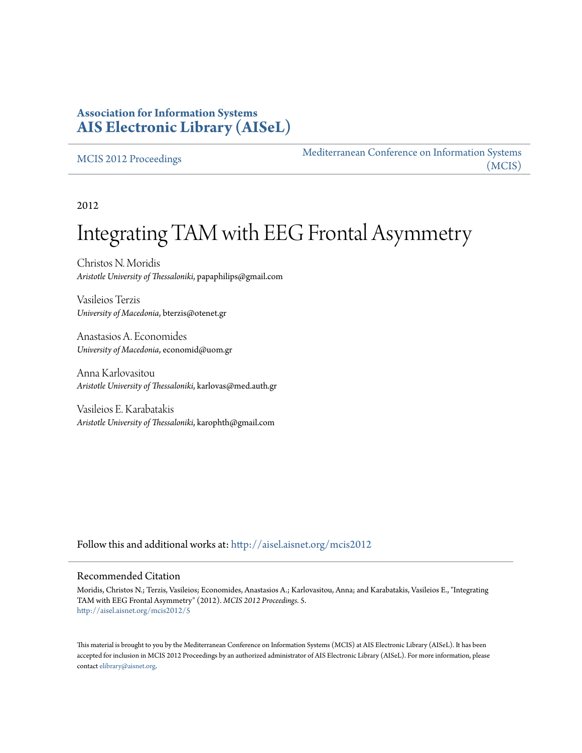## **Association for Information Systems [AIS Electronic Library \(AISeL\)](http://aisel.aisnet.org?utm_source=aisel.aisnet.org%2Fmcis2012%2F5&utm_medium=PDF&utm_campaign=PDFCoverPages)**

[MCIS 2012 Proceedings](http://aisel.aisnet.org/mcis2012?utm_source=aisel.aisnet.org%2Fmcis2012%2F5&utm_medium=PDF&utm_campaign=PDFCoverPages)

[Mediterranean Conference on Information Systems](http://aisel.aisnet.org/mcis?utm_source=aisel.aisnet.org%2Fmcis2012%2F5&utm_medium=PDF&utm_campaign=PDFCoverPages) [\(MCIS\)](http://aisel.aisnet.org/mcis?utm_source=aisel.aisnet.org%2Fmcis2012%2F5&utm_medium=PDF&utm_campaign=PDFCoverPages)

2012

# Integrating TAM with EEG Frontal Asymmetry

Christos N. Moridis *Aristotle University of Thessaloniki*, papaphilips@gmail.com

Vasileios Terzis *University of Macedonia*, bterzis@otenet.gr

Anastasios A. Economides *University of Macedonia*, economid@uom.gr

Anna Karlovasitou *Aristotle University of Thessaloniki*, karlovas@med.auth.gr

Vasileios E. Karabatakis *Aristotle University of Thessaloniki*, karophth@gmail.com

Follow this and additional works at: [http://aisel.aisnet.org/mcis2012](http://aisel.aisnet.org/mcis2012?utm_source=aisel.aisnet.org%2Fmcis2012%2F5&utm_medium=PDF&utm_campaign=PDFCoverPages)

#### Recommended Citation

Moridis, Christos N.; Terzis, Vasileios; Economides, Anastasios A.; Karlovasitou, Anna; and Karabatakis, Vasileios E., "Integrating TAM with EEG Frontal Asymmetry" (2012). *MCIS 2012 Proceedings*. 5. [http://aisel.aisnet.org/mcis2012/5](http://aisel.aisnet.org/mcis2012/5?utm_source=aisel.aisnet.org%2Fmcis2012%2F5&utm_medium=PDF&utm_campaign=PDFCoverPages)

This material is brought to you by the Mediterranean Conference on Information Systems (MCIS) at AIS Electronic Library (AISeL). It has been accepted for inclusion in MCIS 2012 Proceedings by an authorized administrator of AIS Electronic Library (AISeL). For more information, please contact [elibrary@aisnet.org.](mailto:elibrary@aisnet.org%3E)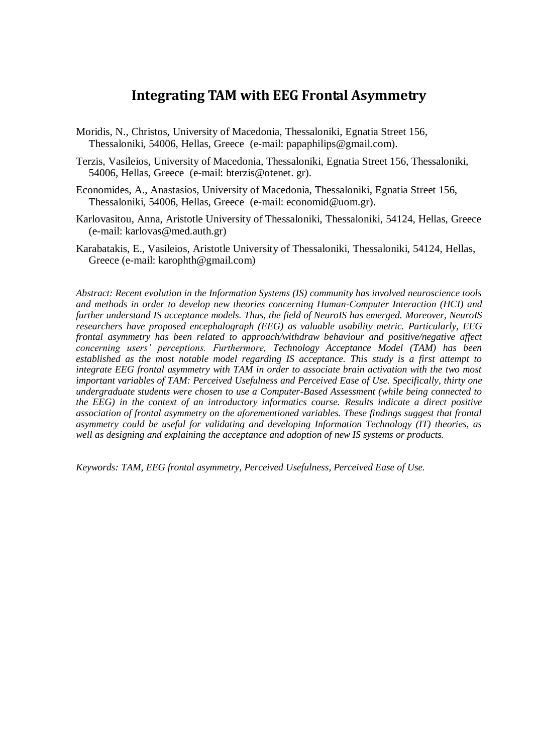## **Integrating TAM with EEG Frontal Asymmetry**

- Moridis, N., Christos, University of Macedonia, Thessaloniki, Egnatia Street 156, Thessaloniki, 54006, Hellas, Greece (e-mail: papaphilips@gmail.com).
- Terzis, Vasileios, University of Macedonia, Thessaloniki, Egnatia Street 156, Thessaloniki, 54006, Hellas, Greece (e-mail: bterzis@otenet. gr).
- Economides, A., Anastasios, University of Macedonia, Thessaloniki, Egnatia Street 156, Thessaloniki, 54006, Hellas, Greece (e-mail: economid@uom.gr).
- Karlovasitou, Anna, Aristotle University of Thessaloniki, Thessaloniki, 54124, Hellas, Greece (e-mail: karlovas@med.auth.gr)
- Karabatakis, E., Vasileios, Aristotle University of Thessaloniki, Thessaloniki, 54124, Hellas, Greece (e-mail: karophth@gmail.com)

*Abstract: Recent evolution in the Information Systems (IS) community has involved neuroscience tools and methods in order to develop new theories concerning Human-Computer Interaction (HCI) and further understand IS acceptance models. Thus, the field of NeuroIS has emerged. Moreover, NeuroIS researchers have proposed encephalograph (EEG) as valuable usability metric. Particularly, EEG frontal asymmetry has been related to approach/withdraw behaviour and positive/negative affect concerning users' perceptions. Furthermore, Technology Acceptance Model (TAM) has been established as the most notable model regarding IS acceptance. This study is a first attempt to integrate EEG frontal asymmetry with TAM in order to associate brain activation with the two most important variables of TAM: Perceived Usefulness and Perceived Ease of Use. Specifically, thirty one undergraduate students were chosen to use a Computer-Based Assessment (while being connected to the EEG) in the context of an introductory informatics course. Results indicate a direct positive association of frontal asymmetry on the aforementioned variables. These findings suggest that frontal asymmetry could be useful for validating and developing Information Technology (IT) theories, as well as designing and explaining the acceptance and adoption of new IS systems or products.*

*Keywords: TAM, EEG frontal asymmetry, Perceived Usefulness, Perceived Ease of Use.*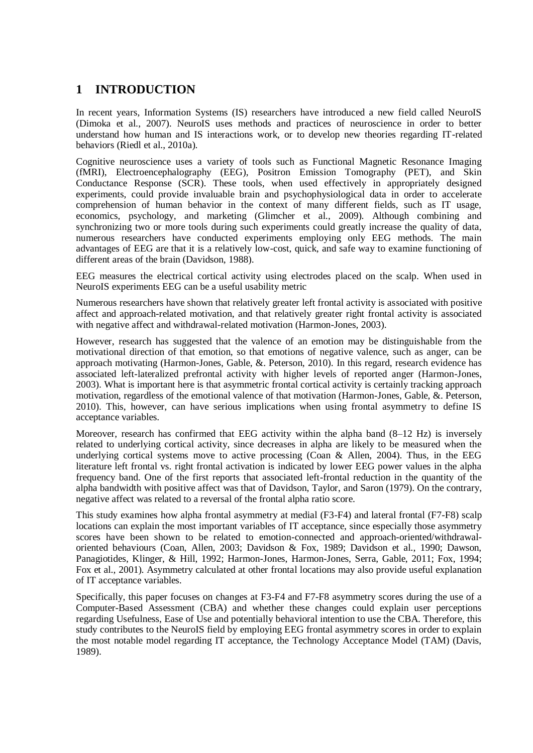## **1 INTRODUCTION**

In recent years, Information Systems (IS) researchers have introduced a new field called NeuroIS (Dimoka et al., 2007). NeuroIS uses methods and practices of neuroscience in order to better understand how human and IS interactions work, or to develop new theories regarding IT-related behaviors (Riedl et al., 2010a).

Cognitive neuroscience uses a variety of tools such as Functional Magnetic Resonance Imaging (fMRI), Electroencephalography (EEG), Positron Emission Tomography (PET), and Skin Conductance Response (SCR). These tools, when used effectively in appropriately designed experiments, could provide invaluable brain and psychophysiological data in order to accelerate comprehension of human behavior in the context of many different fields, such as IT usage, economics, psychology, and marketing (Glimcher et al., 2009). Although combining and synchronizing two or more tools during such experiments could greatly increase the quality of data, numerous researchers have conducted experiments employing only EEG methods. The main advantages of EEG are that it is a relatively low-cost, quick, and safe way to examine functioning of different areas of the brain (Davidson, 1988).

EEG measures the electrical cortical activity using electrodes placed on the scalp. When used in NeuroIS experiments EEG can be a useful usability metric

Numerous researchers have shown that relatively greater left frontal activity is associated with positive affect and approach-related motivation, and that relatively greater right frontal activity is associated with negative affect and withdrawal-related motivation (Harmon-Jones, 2003).

However, research has suggested that the valence of an emotion may be distinguishable from the motivational direction of that emotion, so that emotions of negative valence, such as anger, can be approach motivating (Harmon-Jones, Gable, &. Peterson, 2010). In this regard, research evidence has associated left-lateralized prefrontal activity with higher levels of reported anger (Harmon-Jones, 2003). What is important here is that asymmetric frontal cortical activity is certainly tracking approach motivation, regardless of the emotional valence of that motivation (Harmon-Jones, Gable, &. Peterson, 2010). This, however, can have serious implications when using frontal asymmetry to define IS acceptance variables.

Moreover, research has confirmed that EEG activity within the alpha band (8–12 Hz) is inversely related to underlying cortical activity, since decreases in alpha are likely to be measured when the underlying cortical systems move to active processing (Coan  $\&$  Allen, 2004). Thus, in the EEG literature left frontal vs. right frontal activation is indicated by lower EEG power values in the alpha frequency band. One of the first reports that associated left-frontal reduction in the quantity of the alpha bandwidth with positive affect was that of Davidson, Taylor, and Saron (1979). On the contrary, negative affect was related to a reversal of the frontal alpha ratio score.

This study examines how alpha frontal asymmetry at medial (F3-F4) and lateral frontal (F7-F8) scalp locations can explain the most important variables of IT acceptance, since especially those asymmetry scores have been shown to be related to emotion-connected and approach-oriented/withdrawaloriented behaviours (Coan, Allen, 2003; Davidson & Fox, 1989; Davidson et al., 1990; Dawson, Panagiotides, Klinger, & Hill, 1992; Harmon-Jones, Harmon-Jones, Serra, Gable, 2011; Fox, 1994; Fox et al., 2001). Asymmetry calculated at other frontal locations may also provide useful explanation of IT acceptance variables.

Specifically, this paper focuses on changes at F3-F4 and F7-F8 asymmetry scores during the use of a Computer-Based Assessment (CBA) and whether these changes could explain user perceptions regarding Usefulness, Ease of Use and potentially behavioral intention to use the CBA. Therefore, this study contributes to the NeuroIS field by employing EEG frontal asymmetry scores in order to explain the most notable model regarding IT acceptance, the Technology Acceptance Model (TAM) (Davis, 1989).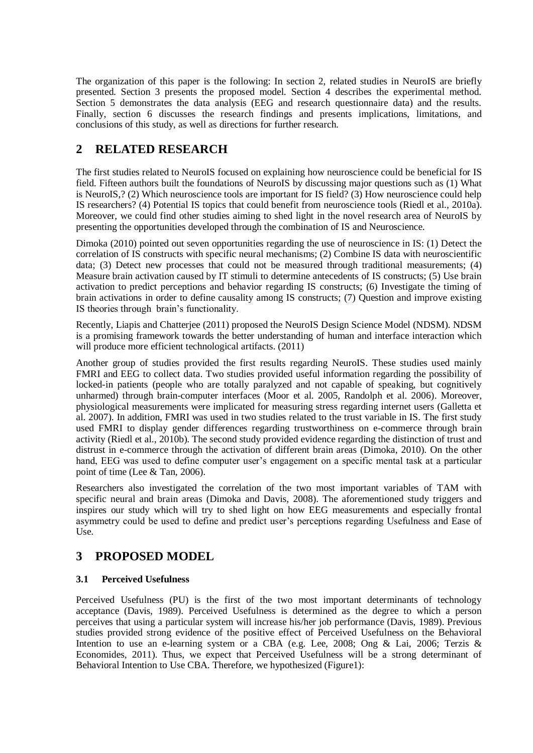The organization of this paper is the following: In section 2, related studies in NeuroIS are briefly presented. Section 3 presents the proposed model. Section 4 describes the experimental method. Section 5 demonstrates the data analysis (EEG and research questionnaire data) and the results. Finally, section 6 discusses the research findings and presents implications, limitations, and conclusions of this study, as well as directions for further research.

## **2 RELATED RESEARCH**

The first studies related to NeuroIS focused on explaining how neuroscience could be beneficial for IS field. Fifteen authors built the foundations of NeuroIS by discussing major questions such as (1) What is NeuroIS,? (2) Which neuroscience tools are important for IS field? (3) How neuroscience could help IS researchers? (4) Potential IS topics that could benefit from neuroscience tools (Riedl et al., 2010a). Moreover, we could find other studies aiming to shed light in the novel research area of NeuroIS by presenting the opportunities developed through the combination of IS and Neuroscience.

Dimoka (2010) pointed out seven opportunities regarding the use of neuroscience in IS: (1) Detect the correlation of IS constructs with specific neural mechanisms; (2) Combine IS data with neuroscientific data; (3) Detect new processes that could not be measured through traditional measurements; (4) Measure brain activation caused by IT stimuli to determine antecedents of IS constructs; (5) Use brain activation to predict perceptions and behavior regarding IS constructs; (6) Investigate the timing of brain activations in order to define causality among IS constructs; (7) Question and improve existing IS theories through brain's functionality.

Recently, Liapis and Chatterjee (2011) proposed the NeuroIS Design Science Model (NDSM). NDSM is a promising framework towards the better understanding of human and interface interaction which will produce more efficient technological artifacts. (2011)

Another group of studies provided the first results regarding NeuroIS. These studies used mainly FMRI and EEG to collect data. Two studies provided useful information regarding the possibility of locked-in patients (people who are totally paralyzed and not capable of speaking, but cognitively unharmed) through brain-computer interfaces (Moor et al. 2005, Randolph et al. 2006). Moreover, physiological measurements were implicated for measuring stress regarding internet users (Galletta et al. 2007). In addition, FMRI was used in two studies related to the trust variable in IS. The first study used FMRI to display gender differences regarding trustworthiness on e-commerce through brain activity (Riedl et al., 2010b). The second study provided evidence regarding the distinction of trust and distrust in e-commerce through the activation of different brain areas (Dimoka, 2010). On the other hand, EEG was used to define computer user's engagement on a specific mental task at a particular point of time (Lee & Tan, 2006).

Researchers also investigated the correlation of the two most important variables of TAM with specific neural and brain areas (Dimoka and Davis, 2008). The aforementioned study triggers and inspires our study which will try to shed light on how EEG measurements and especially frontal asymmetry could be used to define and predict user's perceptions regarding Usefulness and Ease of Use.

## **3 PROPOSED MODEL**

### **3.1 Perceived Usefulness**

Perceived Usefulness (PU) is the first of the two most important determinants of technology acceptance (Davis, 1989). Perceived Usefulness is determined as the degree to which a person perceives that using a particular system will increase his/her job performance (Davis, 1989). Previous studies provided strong evidence of the positive effect of Perceived Usefulness on the Behavioral Intention to use an e-learning system or a CBA (e.g. Lee, 2008; Ong & Lai, 2006; Terzis & Economides, 2011). Thus, we expect that Perceived Usefulness will be a strong determinant of Behavioral Intention to Use CBA. Therefore, we hypothesized (Figure1):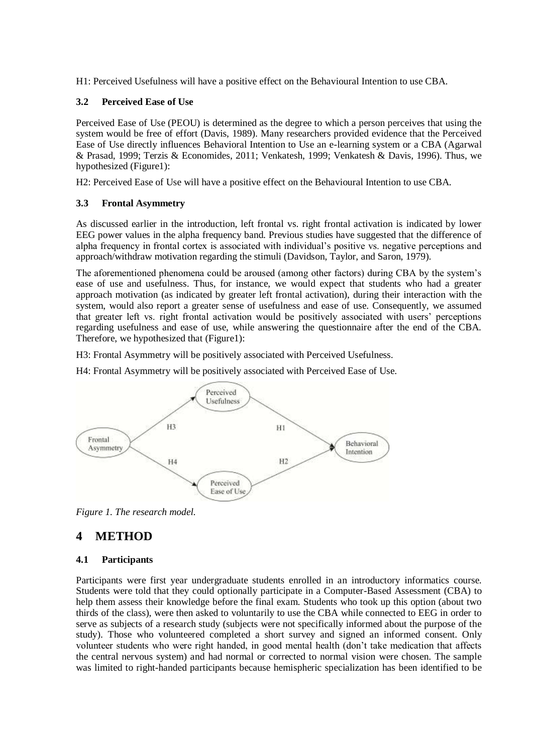H1: Perceived Usefulness will have a positive effect on the Behavioural Intention to use CBA.

#### **3.2 Perceived Ease of Use**

Perceived Ease of Use (PEOU) is determined as the degree to which a person perceives that using the system would be free of effort (Davis, 1989). Many researchers provided evidence that the Perceived Ease of Use directly influences Behavioral Intention to Use an e-learning system or a CBA (Agarwal & Prasad, 1999; Terzis & Economides, 2011; Venkatesh, 1999; Venkatesh & Davis, 1996). Thus, we hypothesized (Figure1):

H2: Perceived Ease of Use will have a positive effect on the Behavioural Intention to use CBA.

#### **3.3 Frontal Asymmetry**

As discussed earlier in the introduction, left frontal vs. right frontal activation is indicated by lower EEG power values in the alpha frequency band. Previous studies have suggested that the difference of alpha frequency in frontal cortex is associated with individual's positive vs. negative perceptions and approach/withdraw motivation regarding the stimuli (Davidson, Taylor, and Saron, 1979).

The aforementioned phenomena could be aroused (among other factors) during CBA by the system's ease of use and usefulness. Thus, for instance, we would expect that students who had a greater approach motivation (as indicated by greater left frontal activation), during their interaction with the system, would also report a greater sense of usefulness and ease of use. Consequently, we assumed that greater left vs. right frontal activation would be positively associated with users' perceptions regarding usefulness and ease of use, while answering the questionnaire after the end of the CBA. Therefore, we hypothesized that (Figure1):

H3: Frontal Asymmetry will be positively associated with Perceived Usefulness.

H4: Frontal Asymmetry will be positively associated with Perceived Ease of Use.



*Figure 1. The research model.*

## **4 METHOD**

### **4.1 Participants**

Participants were first year undergraduate students enrolled in an introductory informatics course. Students were told that they could optionally participate in a Computer-Based Assessment (CBA) to help them assess their knowledge before the final exam. Students who took up this option (about two thirds of the class), were then asked to voluntarily to use the CBA while connected to EEG in order to serve as subjects of a research study (subjects were not specifically informed about the purpose of the study). Those who volunteered completed a short survey and signed an informed consent. Only volunteer students who were right handed, in good mental health (don't take medication that affects the central nervous system) and had normal or corrected to normal vision were chosen. The sample was limited to right-handed participants because hemispheric specialization has been identified to be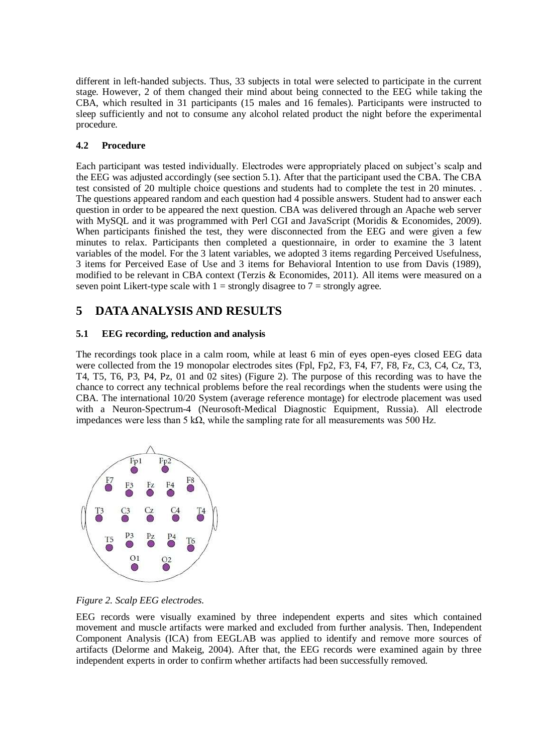different in left-handed subjects. Thus, 33 subjects in total were selected to participate in the current stage. However, 2 of them changed their mind about being connected to the EEG while taking the CBA, which resulted in 31 participants (15 males and 16 females). Participants were instructed to sleep sufficiently and not to consume any alcohol related product the night before the experimental procedure.

### **4.2 Procedure**

Each participant was tested individually. Electrodes were appropriately placed on subject's scalp and the EEG was adjusted accordingly (see section 5.1). After that the participant used the CBA. The CBA test consisted of 20 multiple choice questions and students had to complete the test in 20 minutes. . The questions appeared random and each question had 4 possible answers. Student had to answer each question in order to be appeared the next question. CBA was delivered through an Apache web server with MySQL and it was programmed with Perl CGI and JavaScript (Moridis & Economides, 2009). When participants finished the test, they were disconnected from the EEG and were given a few minutes to relax. Participants then completed a questionnaire, in order to examine the 3 latent variables of the model. For the 3 latent variables, we adopted 3 items regarding Perceived Usefulness, 3 items for Perceived Ease of Use and 3 items for Behavioral Intention to use from Davis (1989), modified to be relevant in CBA context (Terzis & Economides, 2011). All items were measured on a seven point Likert-type scale with  $1 =$  strongly disagree to  $7 =$  strongly agree.

## **5 DATA ANALYSIS AND RESULTS**

### **5.1 EEG recording, reduction and analysis**

The recordings took place in a calm room, while at least 6 min of eyes open-eyes closed EEG data were collected from the 19 monopolar electrodes sites (Fpl, Fp2, F3, F4, F7, F8, Fz, C3, C4, Cz, T3, T4, T5, T6, P3, P4, Pz, 01 and 02 sites) (Figure 2). The purpose of this recording was to have the chance to correct any technical problems before the real recordings when the students were using the CBA. The international 10/20 System (average reference montage) for electrode placement was used with a Neuron-Spectrum-4 (Neurosoft-Medical Diagnostic Equipment, Russia). All electrode impedances were less than 5 kΩ, while the sampling rate for all measurements was 500 Hz.



*Figure 2. Scalp EEG electrodes.*

EEG records were visually examined by three independent experts and sites which contained movement and muscle artifacts were marked and excluded from further analysis. Then, Independent Component Analysis (ICA) from EEGLAB was applied to identify and remove more sources of artifacts (Delorme and Makeig, 2004). After that, the EEG records were examined again by three independent experts in order to confirm whether artifacts had been successfully removed.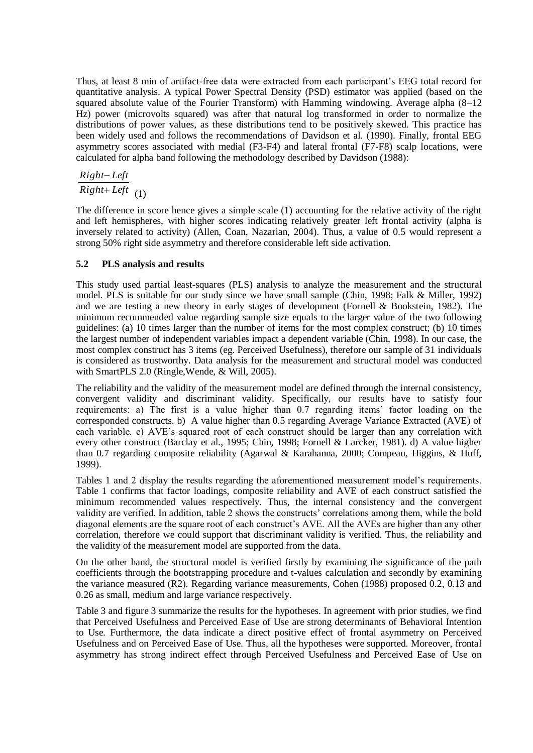Thus, at least 8 min of artifact-free data were extracted from each participant's EEG total record for quantitative analysis. A typical Power Spectral Density (PSD) estimator was applied (based on the squared absolute value of the Fourier Transform) with Hamming windowing. Average alpha (8–12 Hz) power (microvolts squared) was after that natural log transformed in order to normalize the distributions of power values, as these distributions tend to be positively skewed. This practice has been widely used and follows the recommendations of Davidson et al. (1990). Finally, frontal EEG asymmetry scores associated with medial (F3-F4) and lateral frontal (F7-F8) scalp locations, were calculated for alpha band following the methodology described by Davidson (1988):

 $Right+Left$ <sub>(1)</sub> *Right Left*

The difference in score hence gives a simple scale (1) accounting for the relative activity of the right and left hemispheres, with higher scores indicating relatively greater left frontal activity (alpha is inversely related to activity) (Allen, Coan, Nazarian, 2004). Thus, a value of 0.5 would represent a strong 50% right side asymmetry and therefore considerable left side activation.

#### **5.2 PLS analysis and results**

This study used partial least-squares (PLS) analysis to analyze the measurement and the structural model. PLS is suitable for our study since we have small sample (Chin, 1998; Falk & Miller, 1992) and we are testing a new theory in early stages of development (Fornell & Bookstein, 1982). The minimum recommended value regarding sample size equals to the larger value of the two following guidelines: (a) 10 times larger than the number of items for the most complex construct; (b) 10 times the largest number of independent variables impact a dependent variable (Chin, 1998). In our case, the most complex construct has 3 items (eg. Perceived Usefulness), therefore our sample of 31 individuals is considered as trustworthy. Data analysis for the measurement and structural model was conducted with SmartPLS 2.0 (Ringle,Wende, & Will, 2005).

The reliability and the validity of the measurement model are defined through the internal consistency, convergent validity and discriminant validity. Specifically, our results have to satisfy four requirements: a) The first is a value higher than 0.7 regarding items' factor loading on the corresponded constructs. b) A value higher than 0.5 regarding Average Variance Extracted (AVE) of each variable. c) AVE's squared root of each construct should be larger than any correlation with every other construct (Barclay et al., 1995; Chin, 1998; Fornell & Larcker, 1981). d) A value higher than 0.7 regarding composite reliability (Agarwal & Karahanna, 2000; Compeau, Higgins, & Huff, 1999).

Tables 1 and 2 display the results regarding the aforementioned measurement model's requirements. Table 1 confirms that factor loadings, composite reliability and AVE of each construct satisfied the minimum recommended values respectively. Thus, the internal consistency and the convergent validity are verified. In addition, table 2 shows the constructs' correlations among them, while the bold diagonal elements are the square root of each construct's AVE. All the AVEs are higher than any other correlation, therefore we could support that discriminant validity is verified. Thus, the reliability and the validity of the measurement model are supported from the data.

On the other hand, the structural model is verified firstly by examining the significance of the path coefficients through the bootstrapping procedure and t-values calculation and secondly by examining the variance measured (R2). Regarding variance measurements, Cohen (1988) proposed 0.2, 0.13 and 0.26 as small, medium and large variance respectively.

Table 3 and figure 3 summarize the results for the hypotheses. In agreement with prior studies, we find that Perceived Usefulness and Perceived Ease of Use are strong determinants of Behavioral Intention to Use. Furthermore, the data indicate a direct positive effect of frontal asymmetry on Perceived Usefulness and on Perceived Ease of Use. Thus, all the hypotheses were supported. Moreover, frontal asymmetry has strong indirect effect through Perceived Usefulness and Perceived Ease of Use on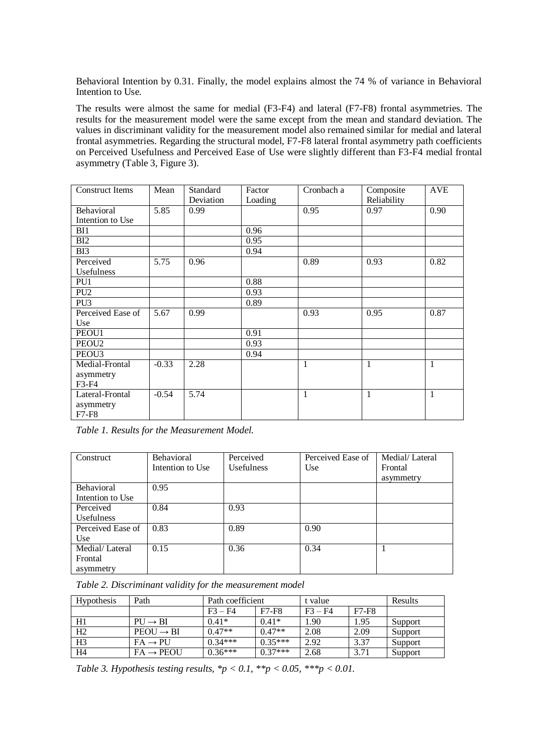Behavioral Intention by 0.31. Finally, the model explains almost the 74 % of variance in Behavioral Intention to Use.

The results were almost the same for medial (F3-F4) and lateral (F7-F8) frontal asymmetries. The results for the measurement model were the same except from the mean and standard deviation. The values in discriminant validity for the measurement model also remained similar for medial and lateral frontal asymmetries. Regarding the structural model, F7-F8 lateral frontal asymmetry path coefficients on Perceived Usefulness and Perceived Ease of Use were slightly different than F3-F4 medial frontal asymmetry (Table 3, Figure 3).

| <b>Construct Items</b>                | Mean    | Standard<br>Deviation | Factor<br>Loading | Cronbach a   | Composite<br>Reliability | <b>AVE</b> |
|---------------------------------------|---------|-----------------------|-------------------|--------------|--------------------------|------------|
| Behavioral<br>Intention to Use        | 5.85    | 0.99                  |                   | 0.95         | 0.97                     | 0.90       |
| BI1                                   |         |                       | 0.96              |              |                          |            |
| BI2                                   |         |                       | 0.95              |              |                          |            |
| BI3                                   |         |                       | 0.94              |              |                          |            |
| Perceived<br>Usefulness               | 5.75    | 0.96                  |                   | 0.89         | 0.93                     | 0.82       |
| PU1                                   |         |                       | 0.88              |              |                          |            |
| PU <sub>2</sub>                       |         |                       | 0.93              |              |                          |            |
| PU <sub>3</sub>                       |         |                       | 0.89              |              |                          |            |
| Perceived Ease of<br>Use              | 5.67    | 0.99                  |                   | 0.93         | 0.95                     | 0.87       |
| PEOU1                                 |         |                       | 0.91              |              |                          |            |
| PEOU <sub>2</sub>                     |         |                       | 0.93              |              |                          |            |
| PEOU <sub>3</sub>                     |         |                       | 0.94              |              |                          |            |
| Medial-Frontal<br>asymmetry<br>F3-F4  | $-0.33$ | 2.28                  |                   | $\mathbf{1}$ | $\mathbf{1}$             | 1          |
| Lateral-Frontal<br>asymmetry<br>F7-F8 | $-0.54$ | 5.74                  |                   | $\mathbf{1}$ | 1                        | 1          |

*Table 1. Results for the Measurement Model.*

| Construct         | <b>Behavioral</b> | Perceived  | Perceived Ease of | Medial/Lateral |  |
|-------------------|-------------------|------------|-------------------|----------------|--|
|                   | Intention to Use  | Usefulness | Use               | Frontal        |  |
|                   |                   |            |                   | asymmetry      |  |
| <b>Behavioral</b> | 0.95              |            |                   |                |  |
| Intention to Use  |                   |            |                   |                |  |
| Perceived         | 0.84              | 0.93       |                   |                |  |
| Usefulness        |                   |            |                   |                |  |
| Perceived Ease of | 0.83              | 0.89       | 0.90              |                |  |
| Use               |                   |            |                   |                |  |
| Medial/Lateral    | 0.15              | 0.36       | 0.34              |                |  |
| Frontal           |                   |            |                   |                |  |
| asymmetry         |                   |            |                   |                |  |

*Table 2. Discriminant validity for the measurement model*

| Hypothesis     | Path                   | Path coefficient |              | t value   |              | <b>Results</b> |
|----------------|------------------------|------------------|--------------|-----------|--------------|----------------|
|                |                        | $F_3 - F_4$      | <b>F7-F8</b> | $F3 - F4$ | <b>F7-F8</b> |                |
| H1             | $P U \rightarrow B I$  | $0.41*$          | $0.41*$      | 1.90      | 1.95         | Support        |
| H2             | $PEOU \rightarrow BI$  | $0.47**$         | $0.47**$     | 2.08      | 2.09         | Support        |
| H <sub>3</sub> | $FA \rightarrow PU$    | $0.34***$        | $0.35***$    | 2.92      | 3.37         | Support        |
| H <sub>4</sub> | $FA \rightarrow PEOUI$ | $0.36***$        | $0.37***$    | 2.68      | 3.71         | Support        |

*Table 3. Hypothesis testing results,*  $*p < 0.1$ *,*  $**p < 0.05$ *,*  $***p < 0.01$ *.*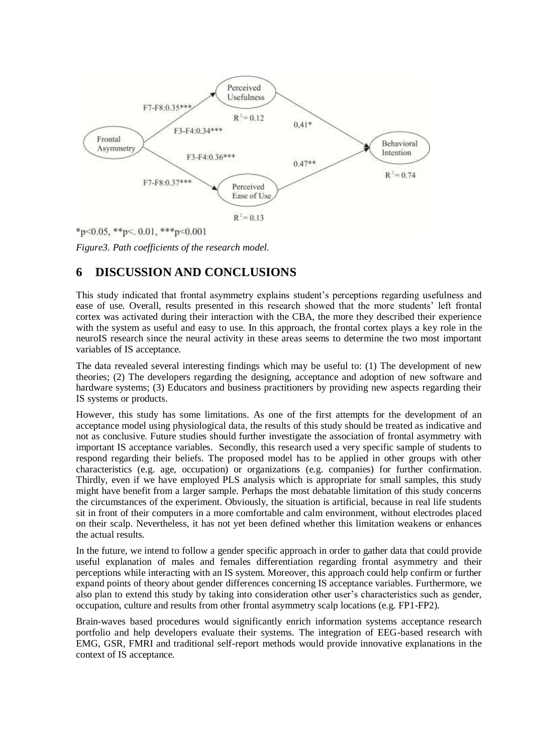

\*p<0.05, \*\*p<. 0.01, \*\*\*p<0.001

*Figure3. Path coefficients of the research model.*

## **6 DISCUSSION AND CONCLUSIONS**

This study indicated that frontal asymmetry explains student's perceptions regarding usefulness and ease of use. Overall, results presented in this research showed that the more students' left frontal cortex was activated during their interaction with the CBA, the more they described their experience with the system as useful and easy to use. In this approach, the frontal cortex plays a key role in the neuroIS research since the neural activity in these areas seems to determine the two most important variables of IS acceptance.

The data revealed several interesting findings which may be useful to: (1) The development of new theories; (2) The developers regarding the designing, acceptance and adoption of new software and hardware systems; (3) Educators and business practitioners by providing new aspects regarding their IS systems or products.

However, this study has some limitations. As one of the first attempts for the development of an acceptance model using physiological data, the results of this study should be treated as indicative and not as conclusive. Future studies should further investigate the association of frontal asymmetry with important IS acceptance variables. Secondly, this research used a very specific sample of students to respond regarding their beliefs. The proposed model has to be applied in other groups with other characteristics (e.g. age, occupation) or organizations (e.g. companies) for further confirmation. Thirdly, even if we have employed PLS analysis which is appropriate for small samples, this study might have benefit from a larger sample. Perhaps the most debatable limitation of this study concerns the circumstances of the experiment. Obviously, the situation is artificial, because in real life students sit in front of their computers in a more comfortable and calm environment, without electrodes placed on their scalp. Nevertheless, it has not yet been defined whether this limitation weakens or enhances the actual results.

In the future, we intend to follow a gender specific approach in order to gather data that could provide useful explanation of males and females differentiation regarding frontal asymmetry and their perceptions while interacting with an IS system. Moreover, this approach could help confirm or further expand points of theory about gender differences concerning IS acceptance variables. Furthermore, we also plan to extend this study by taking into consideration other user's characteristics such as gender, occupation, culture and results from other frontal asymmetry scalp locations (e.g. FP1-FP2).

Brain-waves based procedures would significantly enrich information systems acceptance research portfolio and help developers evaluate their systems. The integration of EEG-based research with EMG, GSR, FMRI and traditional self-report methods would provide innovative explanations in the context of IS acceptance.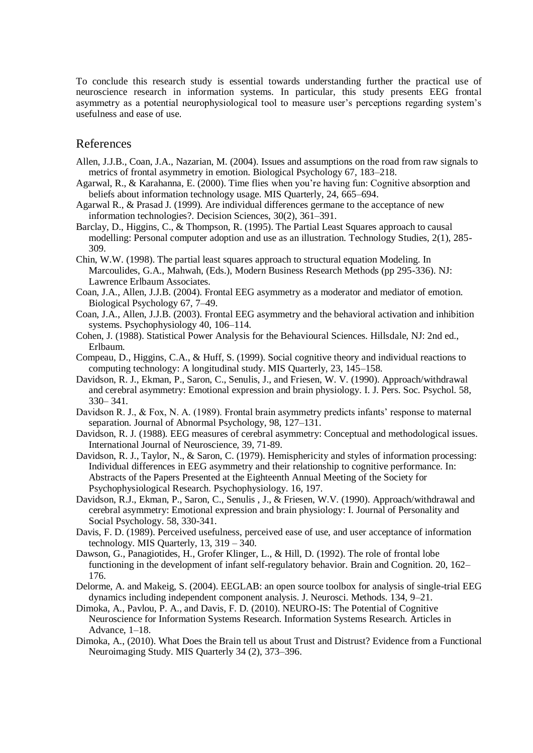To conclude this research study is essential towards understanding further the practical use of neuroscience research in information systems. In particular, this study presents EEG frontal asymmetry as a potential neurophysiological tool to measure user's perceptions regarding system's usefulness and ease of use.

#### References

- Allen, J.J.B., Coan, J.A., Nazarian, M. (2004). Issues and assumptions on the road from raw signals to metrics of frontal asymmetry in emotion. Biological Psychology 67, 183–218.
- Agarwal, R., & Karahanna, E. (2000). Time flies when you're having fun: Cognitive absorption and beliefs about information technology usage. MIS Quarterly, 24, 665–694.
- Agarwal R., & Prasad J. (1999). Are individual differences germane to the acceptance of new information technologies?. Decision Sciences, 30(2), 361–391.
- Barclay, D., Higgins, C., & Thompson, R. (1995). The Partial Least Squares approach to causal modelling: Personal computer adoption and use as an illustration. Technology Studies, 2(1), 285- 309.
- Chin, W.W. (1998). The partial least squares approach to structural equation Modeling. In Marcoulides, G.A., Mahwah, (Eds.), Modern Business Research Methods (pp 295-336). NJ: Lawrence Erlbaum Associates.
- Coan, J.A., Allen, J.J.B. (2004). Frontal EEG asymmetry as a moderator and mediator of emotion. Biological Psychology 67, 7–49.
- Coan, J.A., Allen, J.J.B. (2003). Frontal EEG asymmetry and the behavioral activation and inhibition systems. Psychophysiology 40, 106–114.
- Cohen, J. (1988). Statistical Power Analysis for the Behavioural Sciences. Hillsdale, NJ: 2nd ed., Erlbaum.
- Compeau, D., Higgins, C.A., & Huff, S. (1999). Social cognitive theory and individual reactions to computing technology: A longitudinal study. MIS Quarterly, 23, 145–158.
- Davidson, R. J., Ekman, P., Saron, C., Senulis, J., and Friesen, W. V. (1990). Approach/withdrawal and cerebral asymmetry: Emotional expression and brain physiology. I. J. Pers. Soc. Psychol. 58, 330– 341.
- Davidson R. J., & Fox, N. A. (1989). Frontal brain asymmetry predicts infants' response to maternal separation. Journal of Abnormal Psychology, 98, 127–131.
- Davidson, R. J. (1988). EEG measures of cerebral asymmetry: Conceptual and methodological issues. International Journal of Neuroscience, 39, 71-89.
- Davidson, R. J., Taylor, N., & Saron, C. (1979). Hemisphericity and styles of information processing: Individual differences in EEG asymmetry and their relationship to cognitive performance. In: Abstracts of the Papers Presented at the Eighteenth Annual Meeting of the Society for Psychophysiological Research. Psychophysiology. 16, 197.
- Davidson, R.J., Ekman, P., Saron, C., Senulis , J., & Friesen, W.V. (1990). Approach/withdrawal and cerebral asymmetry: Emotional expression and brain physiology: I. Journal of Personality and Social Psychology. 58, 330-341.
- Davis, F. D. (1989). Perceived usefulness, perceived ease of use, and user acceptance of information technology. MIS Quarterly, 13, 319 – 340.
- Dawson, G., Panagiotides, H., Grofer Klinger, L., & Hill, D. (1992). The role of frontal lobe functioning in the development of infant self-regulatory behavior. Brain and Cognition. 20, 162– 176.
- Delorme, A. and Makeig, S. (2004). EEGLAB: an open source toolbox for analysis of single-trial EEG dynamics including independent component analysis. J. Neurosci. Methods. 134, 9–21.
- Dimoka, A., Pavlou, P. A., and Davis, F. D. (2010). NEURO-IS: The Potential of Cognitive Neuroscience for Information Systems Research. Information Systems Research. Articles in Advance, 1–18.
- Dimoka, A., (2010). What Does the Brain tell us about Trust and Distrust? Evidence from a Functional Neuroimaging Study. MIS Quarterly 34 (2), 373–396.